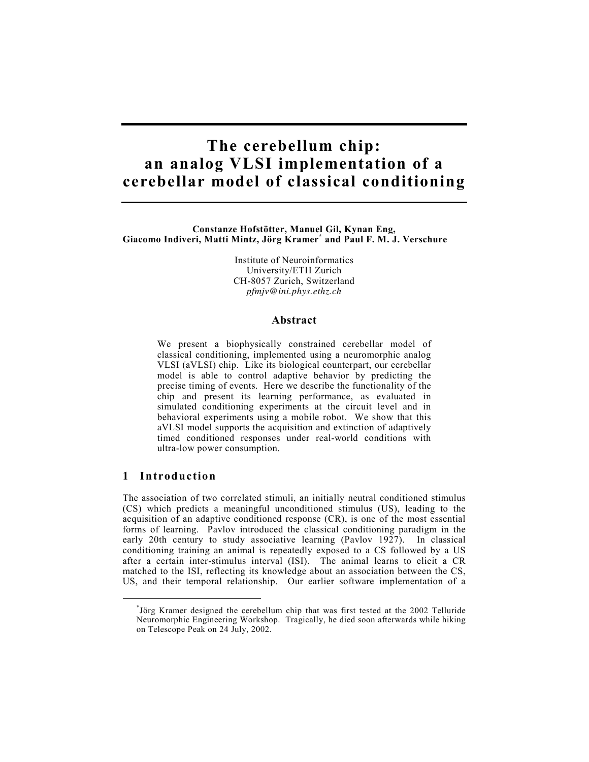# **The cerebellum chip: an analog VLSI implementation of a cerebellar model of classical conditioning**

**Constanze Hofstötter, Manuel Gil, Kynan Eng, Giacomo Indiveri, Matti Mintz, Jörg Kramer\* and Paul F. M. J. Verschure** 

> Institute of Neuroinformatics University/ETH Zurich CH-8057 Zurich, Switzerland *pfmjv@ini.phys.ethz.ch*

#### **Abstract**

We present a biophysically constrained cerebellar model of classical conditioning, implemented using a neuromorphic analog VLSI (aVLSI) chip. Like its biological counterpart, our cerebellar model is able to control adaptive behavior by predicting the precise timing of events. Here we describe the functionality of the chip and present its learning performance, as evaluated in simulated conditioning experiments at the circuit level and in behavioral experiments using a mobile robot. We show that this aVLSI model supports the acquisition and extinction of adaptively timed conditioned responses under real-world conditions with ultra-low power consumption.

## **1 Introduction**

 $\overline{a}$ 

The association of two correlated stimuli, an initially neutral conditioned stimulus (CS) which predicts a meaningful unconditioned stimulus (US), leading to the acquisition of an adaptive conditioned response (CR), is one of the most essential forms of learning. Pavlov introduced the classical conditioning paradigm in the early 20th century to study associative learning (Pavlov 1927). In classical conditioning training an animal is repeatedly exposed to a CS followed by a US after a certain inter-stimulus interval (ISI). The animal learns to elicit a CR matched to the ISI, reflecting its knowledge about an association between the CS, US, and their temporal relationship. Our earlier software implementation of a

<sup>\*</sup> Jörg Kramer designed the cerebellum chip that was first tested at the 2002 Telluride Neuromorphic Engineering Workshop. Tragically, he died soon afterwards while hiking on Telescope Peak on 24 July, 2002.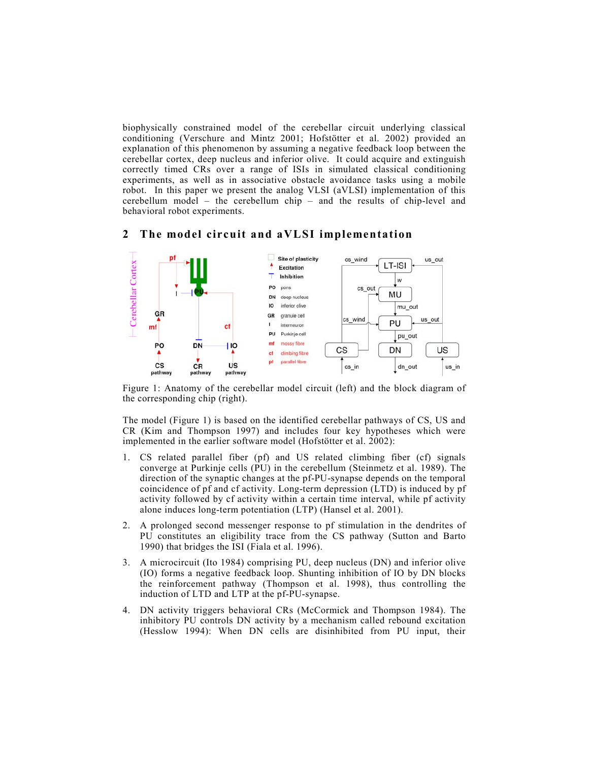biophysically constrained model of the cerebellar circuit underlying classical conditioning (Verschure and Mintz 2001; Hofstötter et al. 2002) provided an explanation of this phenomenon by assuming a negative feedback loop between the cerebellar cortex, deep nucleus and inferior olive. It could acquire and extinguish correctly timed CRs over a range of ISIs in simulated classical conditioning experiments, as well as in associative obstacle avoidance tasks using a mobile robot. In this paper we present the analog VLSI (aVLSI) implementation of this cerebellum model – the cerebellum chip – and the results of chip-level and behavioral robot experiments.



## **2 The model circuit and aVLSI implementation**

Figure 1: Anatomy of the cerebellar model circuit (left) and the block diagram of the corresponding chip (right).

The model (Figure 1) is based on the identified cerebellar pathways of CS, US and CR (Kim and Thompson 1997) and includes four key hypotheses which were implemented in the earlier software model (Hofstötter et al. 2002):

- 1. CS related parallel fiber (pf) and US related climbing fiber (cf) signals converge at Purkinje cells (PU) in the cerebellum (Steinmetz et al. 1989). The direction of the synaptic changes at the pf-PU-synapse depends on the temporal coincidence of pf and cf activity. Long-term depression (LTD) is induced by pf activity followed by cf activity within a certain time interval, while pf activity alone induces long-term potentiation (LTP) (Hansel et al. 2001).
- 2. A prolonged second messenger response to pf stimulation in the dendrites of PU constitutes an eligibility trace from the CS pathway (Sutton and Barto 1990) that bridges the ISI (Fiala et al. 1996).
- 3. A microcircuit (Ito 1984) comprising PU, deep nucleus (DN) and inferior olive (IO) forms a negative feedback loop. Shunting inhibition of IO by DN blocks the reinforcement pathway (Thompson et al. 1998), thus controlling the induction of LTD and LTP at the pf-PU-synapse.
- 4. DN activity triggers behavioral CRs (McCormick and Thompson 1984). The inhibitory PU controls DN activity by a mechanism called rebound excitation (Hesslow 1994): When DN cells are disinhibited from PU input, their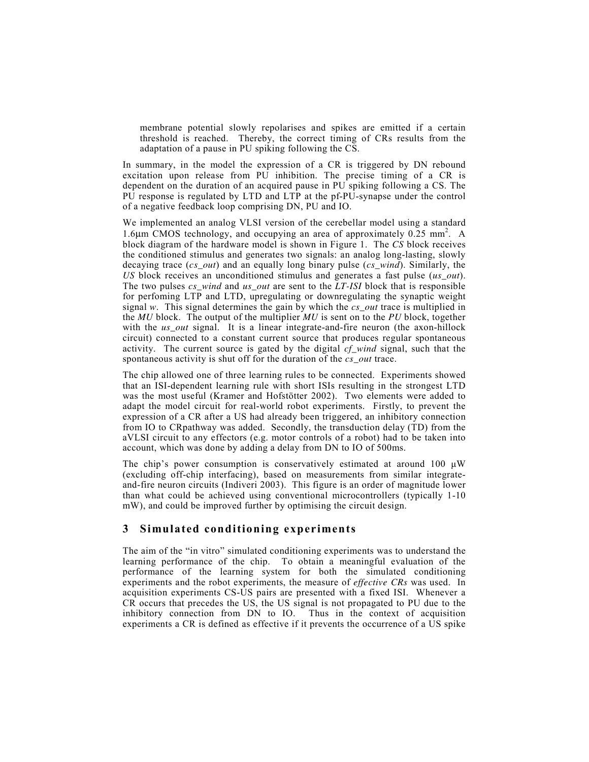membrane potential slowly repolarises and spikes are emitted if a certain threshold is reached. Thereby, the correct timing of CRs results from the adaptation of a pause in PU spiking following the CS.

In summary, in the model the expression of a CR is triggered by DN rebound excitation upon release from PU inhibition. The precise timing of a CR is dependent on the duration of an acquired pause in PU spiking following a CS. The PU response is regulated by LTD and LTP at the pf-PU-synapse under the control of a negative feedback loop comprising DN, PU and IO.

We implemented an analog VLSI version of the cerebellar model using a standard 1.6µm CMOS technology, and occupying an area of approximately 0.25 mm<sup>2</sup> . A block diagram of the hardware model is shown in Figure 1. The *CS* block receives the conditioned stimulus and generates two signals: an analog long-lasting, slowly decaying trace (*cs\_out*) and an equally long binary pulse (*cs\_wind*). Similarly, the *US* block receives an unconditioned stimulus and generates a fast pulse (*us\_out*). The two pulses *cs\_wind* and *us\_out* are sent to the *LT-ISI* block that is responsible for perfoming LTP and LTD, upregulating or downregulating the synaptic weight signal *w*. This signal determines the gain by which the *cs\_out* trace is multiplied in the *MU* block. The output of the multiplier *MU* is sent on to the *PU* block, together with the *us* out signal. It is a linear integrate-and-fire neuron (the axon-hillock circuit) connected to a constant current source that produces regular spontaneous activity. The current source is gated by the digital *cf\_wind* signal, such that the spontaneous activity is shut off for the duration of the *cs\_out* trace.

The chip allowed one of three learning rules to be connected. Experiments showed that an ISI-dependent learning rule with short ISIs resulting in the strongest LTD was the most useful (Kramer and Hofstötter 2002). Two elements were added to adapt the model circuit for real-world robot experiments. Firstly, to prevent the expression of a CR after a US had already been triggered, an inhibitory connection from IO to CRpathway was added. Secondly, the transduction delay (TD) from the aVLSI circuit to any effectors (e.g. motor controls of a robot) had to be taken into account, which was done by adding a delay from DN to IO of 500ms.

The chip's power consumption is conservatively estimated at around 100  $\mu$ W (excluding off-chip interfacing), based on measurements from similar integrateand-fire neuron circuits (Indiveri 2003). This figure is an order of magnitude lower than what could be achieved using conventional microcontrollers (typically 1-10 mW), and could be improved further by optimising the circuit design.

## **3 Simulated conditioning experiments**

The aim of the "in vitro" simulated conditioning experiments was to understand the learning performance of the chip. To obtain a meaningful evaluation of the performance of the learning system for both the simulated conditioning experiments and the robot experiments, the measure of *effective CRs* was used. In acquisition experiments CS-US pairs are presented with a fixed ISI. Whenever a CR occurs that precedes the US, the US signal is not propagated to PU due to the inhibitory connection from DN to IO. Thus in the context of acquisition experiments a CR is defined as effective if it prevents the occurrence of a US spike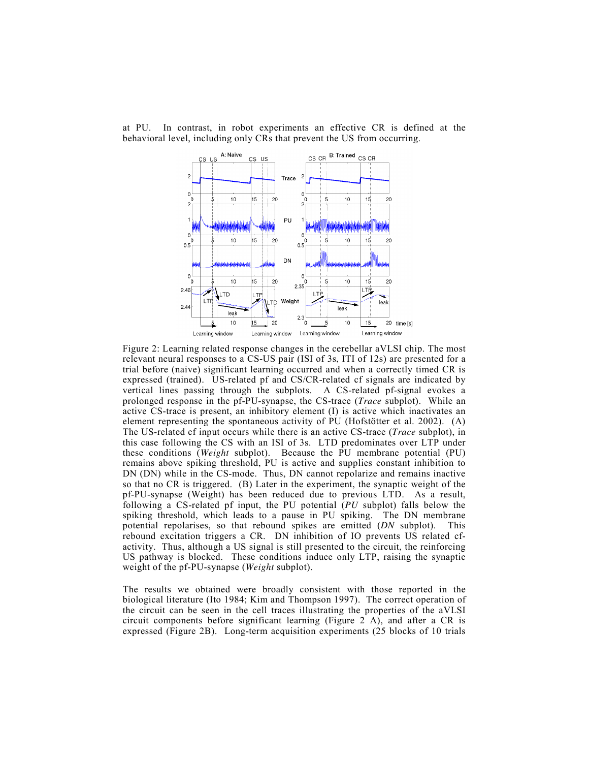

at PU. In contrast, in robot experiments an effective CR is defined at the behavioral level, including only CRs that prevent the US from occurring.

Figure 2: Learning related response changes in the cerebellar aVLSI chip. The most relevant neural responses to a CS-US pair (ISI of 3s, ITI of 12s) are presented for a trial before (naive) significant learning occurred and when a correctly timed CR is expressed (trained). US-related pf and CS/CR-related cf signals are indicated by vertical lines passing through the subplots. A CS-related pf-signal evokes a prolonged response in the pf-PU-synapse, the CS-trace (*Trace* subplot). While an active CS-trace is present, an inhibitory element (I) is active which inactivates an element representing the spontaneous activity of PU (Hofstötter et al. 2002). (A) The US-related cf input occurs while there is an active CS-trace (*Trace* subplot), in this case following the CS with an ISI of 3s. LTD predominates over LTP under these conditions (*Weight* subplot). Because the PU membrane potential (PU) remains above spiking threshold, PU is active and supplies constant inhibition to DN (DN) while in the CS-mode. Thus, DN cannot repolarize and remains inactive so that no CR is triggered. (B) Later in the experiment, the synaptic weight of the pf-PU-synapse (Weight) has been reduced due to previous LTD. As a result, following a CS-related pf input, the PU potential (*PU* subplot) falls below the spiking threshold, which leads to a pause in PU spiking. The DN membrane potential repolarises, so that rebound spikes are emitted (*DN* subplot). This rebound excitation triggers a CR. DN inhibition of IO prevents US related cfactivity. Thus, although a US signal is still presented to the circuit, the reinforcing US pathway is blocked. These conditions induce only LTP, raising the synaptic weight of the pf-PU-synapse (*Weight* subplot).

The results we obtained were broadly consistent with those reported in the biological literature (Ito 1984; Kim and Thompson 1997). The correct operation of the circuit can be seen in the cell traces illustrating the properties of the aVLSI circuit components before significant learning (Figure 2 A), and after a CR is expressed (Figure 2B). Long-term acquisition experiments (25 blocks of 10 trials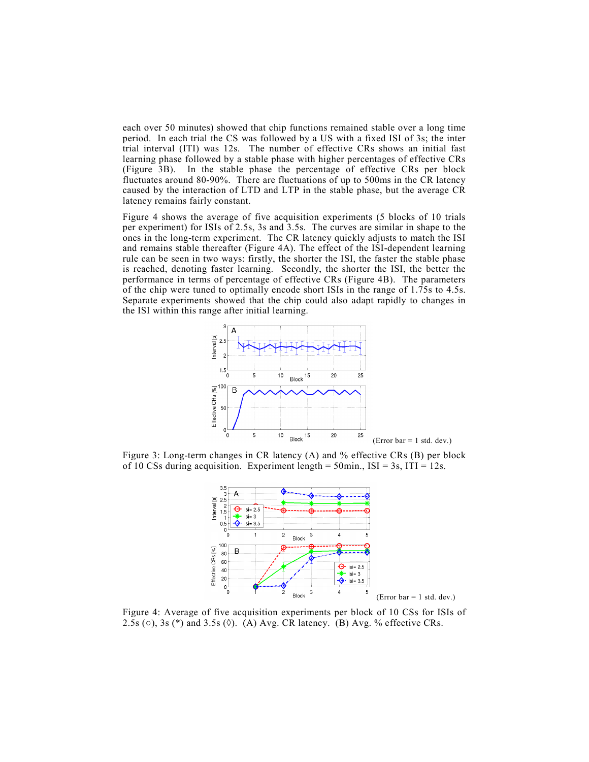each over 50 minutes) showed that chip functions remained stable over a long time period. In each trial the CS was followed by a US with a fixed ISI of 3s; the inter trial interval (ITI) was 12s. The number of effective CRs shows an initial fast learning phase followed by a stable phase with higher percentages of effective CRs (Figure 3B). In the stable phase the percentage of effective CRs per block fluctuates around 80-90%. There are fluctuations of up to 500ms in the CR latency caused by the interaction of LTD and LTP in the stable phase, but the average CR latency remains fairly constant.

Figure 4 shows the average of five acquisition experiments (5 blocks of 10 trials per experiment) for ISIs of 2.5s, 3s and 3.5s. The curves are similar in shape to the ones in the long-term experiment. The CR latency quickly adjusts to match the ISI and remains stable thereafter (Figure 4A). The effect of the ISI-dependent learning rule can be seen in two ways: firstly, the shorter the ISI, the faster the stable phase is reached, denoting faster learning. Secondly, the shorter the ISI, the better the performance in terms of percentage of effective CRs (Figure 4B). The parameters of the chip were tuned to optimally encode short ISIs in the range of 1.75s to 4.5s. Separate experiments showed that the chip could also adapt rapidly to changes in the ISI within this range after initial learning.



Figure 3: Long-term changes in CR latency (A) and % effective CRs (B) per block of 10 CSs during acquisition. Experiment length =  $50$ min., ISI =  $3s$ , ITI =  $12s$ .



Figure 4: Average of five acquisition experiments per block of 10 CSs for ISIs of 2.5s ( $\circ$ ), 3s (\*) and 3.5s ( $\circ$ ). (A) Avg. CR latency. (B) Avg. % effective CRs.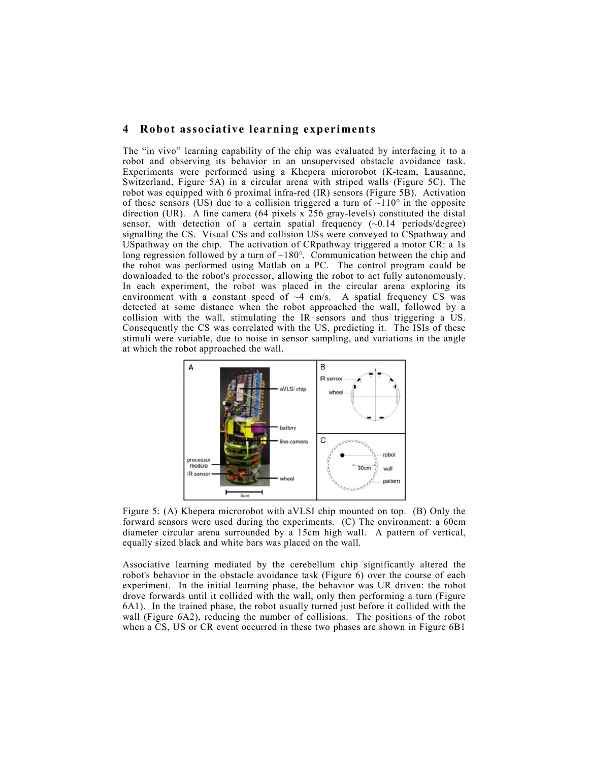## **4 Robot associative learning experiments**

The "in vivo" learning capability of the chip was evaluated by interfacing it to a robot and observing its behavior in an unsupervised obstacle avoidance task. Experiments were performed using a Khepera microrobot (K-team, Lausanne, Switzerland, Figure 5A) in a circular arena with striped walls (Figure 5C). The robot was equipped with 6 proximal infra-red (IR) sensors (Figure 5B). Activation of these sensors (US) due to a collision triggered a turn of  $\sim$ 110 $\degree$  in the opposite direction (UR). A line camera (64 pixels x 256 gray-levels) constituted the distal sensor, with detection of a certain spatial frequency  $(\sim 0.14$  periods/degree) signalling the CS. Visual CSs and collision USs were conveyed to CSpathway and USpathway on the chip. The activation of CRpathway triggered a motor CR: a 1s long regression followed by a turn of  $\sim 180^\circ$ . Communication between the chip and the robot was performed using Matlab on a PC. The control program could be downloaded to the robot's processor, allowing the robot to act fully autonomously. In each experiment, the robot was placed in the circular arena exploring its environment with a constant speed of  $\sim$ 4 cm/s. A spatial frequency CS was detected at some distance when the robot approached the wall, followed by a collision with the wall, stimulating the IR sensors and thus triggering a US. Consequently the CS was correlated with the US, predicting it. The ISIs of these stimuli were variable, due to noise in sensor sampling, and variations in the angle at which the robot approached the wall.



Figure 5: (A) Khepera microrobot with aVLSI chip mounted on top. (B) Only the forward sensors were used during the experiments. (C) The environment: a 60cm diameter circular arena surrounded by a 15cm high wall. A pattern of vertical, equally sized black and white bars was placed on the wall.

Associative learning mediated by the cerebellum chip significantly altered the robot's behavior in the obstacle avoidance task (Figure 6) over the course of each experiment. In the initial learning phase, the behavior was UR driven: the robot drove forwards until it collided with the wall, only then performing a turn (Figure 6A1). In the trained phase, the robot usually turned just before it collided with the wall (Figure 6A2), reducing the number of collisions. The positions of the robot when a CS, US or CR event occurred in these two phases are shown in Figure 6B1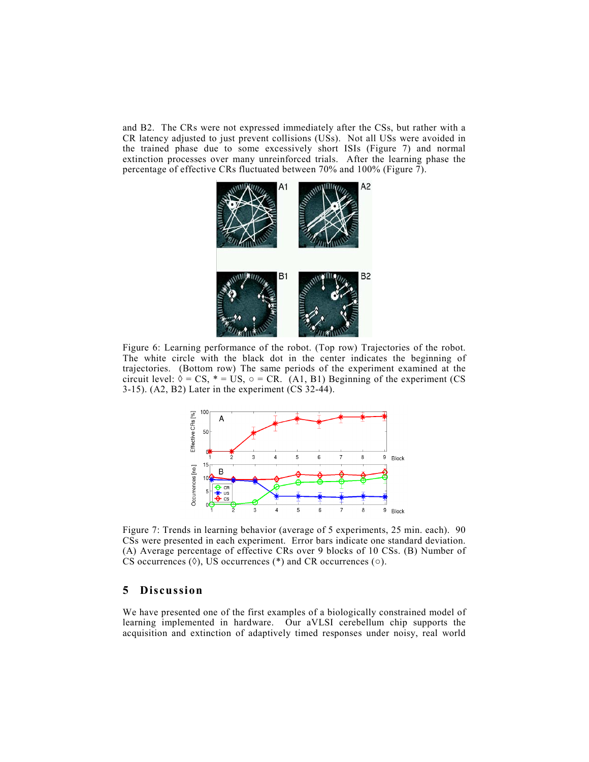and B2. The CRs were not expressed immediately after the CSs, but rather with a CR latency adjusted to just prevent collisions (USs). Not all USs were avoided in the trained phase due to some excessively short ISIs (Figure 7) and normal extinction processes over many unreinforced trials. After the learning phase the percentage of effective CRs fluctuated between 70% and 100% (Figure 7).



Figure 6: Learning performance of the robot. (Top row) Trajectories of the robot. The white circle with the black dot in the center indicates the beginning of trajectories. (Bottom row) The same periods of the experiment examined at the circuit level:  $\lozenge = CS$ ,  $* = US$ ,  $\lozenge = CR$ . (A1, B1) Beginning of the experiment (CS) 3-15). (A2, B2) Later in the experiment (CS 32-44).



Figure 7: Trends in learning behavior (average of 5 experiments, 25 min. each). 90 CSs were presented in each experiment. Error bars indicate one standard deviation. (A) Average percentage of effective CRs over 9 blocks of 10 CSs. (B) Number of CS occurrences  $(\Diamond)$ , US occurrences  $(*)$  and CR occurrences  $(\circ)$ .

## **5 Discussion**

We have presented one of the first examples of a biologically constrained model of learning implemented in hardware. Our aVLSI cerebellum chip supports the acquisition and extinction of adaptively timed responses under noisy, real world